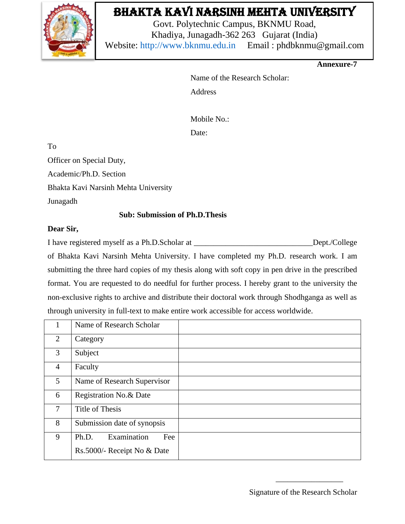

# Bhakta Kavi Narsinh Mehta University

Govt. Polytechnic Campus, BKNMU Road, Khadiya, Junagadh-362 263 Gujarat (India) Website: [http://www.bknmu.edu.in](http://www.bknmu.edu.in/) Email : phdbknmu@gmail.com

**Annexure-7**

Name of the Research Scholar: Address

Mobile No.:

Date:

To

Officer on Special Duty,

Academic/Ph.D. Section

Bhakta Kavi Narsinh Mehta University

Junagadh

### **Sub: Submission of Ph.D.Thesis**

### **Dear Sir,**

I have registered myself as a Ph.D.Scholar at \_\_\_\_\_\_\_\_\_\_\_\_\_\_\_\_\_\_\_\_\_\_\_\_\_\_\_\_\_\_Dept./College of Bhakta Kavi Narsinh Mehta University. I have completed my Ph.D. research work. I am submitting the three hard copies of my thesis along with soft copy in pen drive in the prescribed format. You are requested to do needful for further process. I hereby grant to the university the non-exclusive rights to archive and distribute their doctoral work through Shodhganga as well as through university in full-text to make entire work accessible for access worldwide.

| 1              | Name of Research Scholar    |
|----------------|-----------------------------|
| $\overline{2}$ | Category                    |
| 3              | Subject                     |
| $\overline{4}$ | Faculty                     |
| 5 <sup>5</sup> | Name of Research Supervisor |
| 6              | Registration No.& Date      |
| 7              | Title of Thesis             |
| 8              | Submission date of synopsis |
| 9              | Examination<br>Ph.D.<br>Fee |
|                | Rs.5000/- Receipt No & Date |

\_\_\_\_\_\_\_\_\_\_\_\_\_\_\_\_\_